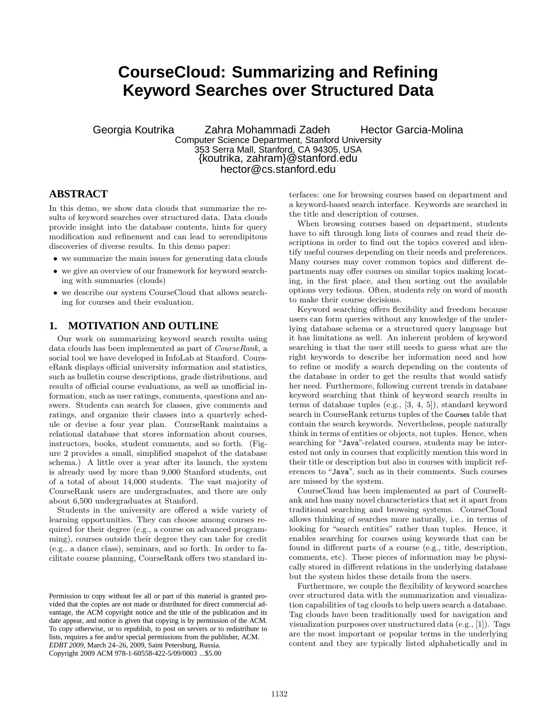# **CourseCloud: Summarizing and Refining Keyword Searches over Structured Data**

Georgia Koutrika Zahra Mohammadi Zadeh Hector Garcia-Molina Computer Science Department, Stanford University 353 Serra Mall, Stanford, CA 94305, USA {koutrika, zahram}@stanford.edu hector@cs.stanford.edu

#### **ABSTRACT**

In this demo, we show data clouds that summarize the results of keyword searches over structured data. Data clouds provide insight into the database contents, hints for query modification and refinement and can lead to serendipitous discoveries of diverse results. In this demo paper:

- we summarize the main issues for generating data clouds
- we give an overview of our framework for keyword searching with summaries (clouds)
- we describe our system CourseCloud that allows searching for courses and their evaluation.

#### **1. MOTIVATION AND OUTLINE**

Our work on summarizing keyword search results using data clouds has been implemented as part of CourseRank, a social tool we have developed in InfoLab at Stanford. CourseRank displays official university information and statistics, such as bulletin course descriptions, grade distributions, and results of official course evaluations, as well as unofficial information, such as user ratings, comments, questions and answers. Students can search for classes, give comments and ratings, and organize their classes into a quarterly schedule or devise a four year plan. CourseRank maintains a relational database that stores information about courses, instructors, books, student comments, and so forth. (Figure 2 provides a small, simplified snapshot of the database schema.) A little over a year after its launch, the system is already used by more than 9,000 Stanford students, out of a total of about 14,000 students. The vast majority of CourseRank users are undergraduates, and there are only about 6,500 undergraduates at Stanford.

Students in the university are offered a wide variety of learning opportunities. They can choose among courses required for their degree (e.g., a course on advanced programming), courses outside their degree they can take for credit (e.g., a dance class), seminars, and so forth. In order to facilitate course planning, CourseRank offers two standard interfaces: one for browsing courses based on department and a keyword-based search interface. Keywords are searched in the title and description of courses.

When browsing courses based on department, students have to sift through long lists of courses and read their descriptions in order to find out the topics covered and identify useful courses depending on their needs and preferences. Many courses may cover common topics and different departments may offer courses on similar topics making locating, in the first place, and then sorting out the available options very tedious. Often, students rely on word of mouth to make their course decisions.

Keyword searching offers flexibility and freedom because users can form queries without any knowledge of the underlying database schema or a structured query language but it has limitations as well. An inherent problem of keyword searching is that the user still needs to guess what are the right keywords to describe her information need and how to refine or modify a search depending on the contents of the database in order to get the results that would satisfy her need. Furthermore, following current trends in database keyword searching that think of keyword search results in terms of database tuples (e.g., [3, 4, 5]), standard keyword search in CourseRank returns tuples of the Courses table that contain the search keywords. Nevertheless, people naturally think in terms of entities or objects, not tuples. Hence, when searching for "Java"-related courses, students may be interested not only in courses that explicitly mention this word in their title or description but also in courses with implicit references to "Java", such as in their comments. Such courses are missed by the system.

CourseCloud has been implemented as part of CourseRank and has many novel characteristics that set it apart from traditional searching and browsing systems. CourseCloud allows thinking of searches more naturally, i.e., in terms of looking for "search entities" rather than tuples. Hence, it enables searching for courses using keywords that can be found in different parts of a course (e.g., title, description, comments, etc). These pieces of information may be physically stored in different relations in the underlying database but the system hides these details from the users.

Furthermore, we couple the flexibility of keyword searches over structured data with the summarization and visualization capabilities of tag clouds to help users search a database. Tag clouds have been traditionally used for navigation and visualization purposes over unstructured data (e.g., [1]). Tags are the most important or popular terms in the underlying content and they are typically listed alphabetically and in

Permission to copy without fee all or part of this material is granted provided that the copies are not made or distributed for direct commercial advantage, the ACM copyright notice and the title of the publication and its date appear, and notice is given that copying is by permission of the ACM. To copy otherwise, or to republish, to post on servers or to redistribute to lists, requires a fee and/or special permissions from the publisher, ACM. *EDBT 2009*, March 24–26, 2009, Saint Petersburg, Russia. Copyright 2009 ACM 978-1-60558-422-5/09/0003 ...\$5.00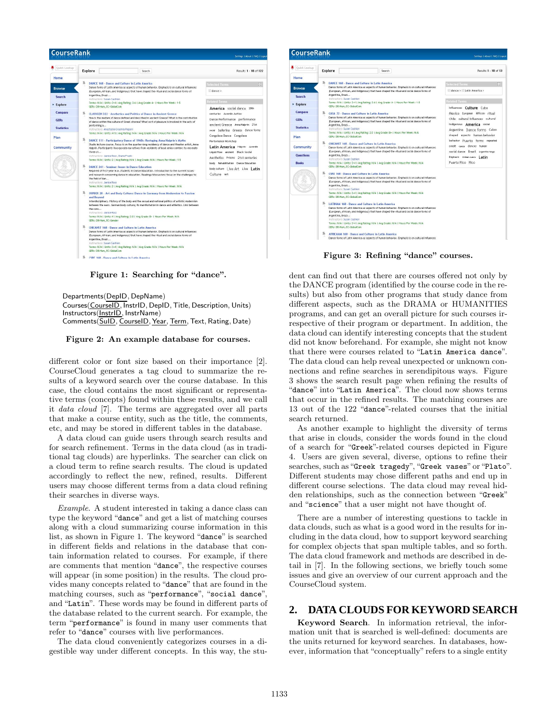

Figure 1: Searching for "dance".

Departments(DepID, DepName) Courses(CourseID, InstrID, DepID, Title, Description, Units) Instructors(InstrID, InstrName) Comments(SuID, CourseID, Year, Term, Text, Rating, Date)

Figure 2: An example database for courses.

different color or font size based on their importance [2]. CourseCloud generates a tag cloud to summarize the results of a keyword search over the course database. In this case, the cloud contains the most significant or representative terms (concepts) found within these results, and we call it data cloud [7]. The terms are aggregated over all parts that make a course entity, such as the title, the comments, etc, and may be stored in different tables in the database.

A data cloud can guide users through search results and for search refinement. Terms in the data cloud (as in traditional tag clouds) are hyperlinks. The searcher can click on a cloud term to refine search results. The cloud is updated accordingly to reflect the new, refined, results. Different users may choose different terms from a data cloud refining their searches in diverse ways.

Example. A student interested in taking a dance class can type the keyword "dance" and get a list of matching courses along with a cloud summarizing course information in this list, as shown in Figure 1. The keyword "dance" is searched in different fields and relations in the database that contain information related to courses. For example, if there are comments that mention "dance", the respective courses will appear (in some position) in the results. The cloud provides many concepts related to "dance" that are found in the matching courses, such as "performance", "social dance", and "Latin". These words may be found in different parts of the database related to the current search. For example, the term "performance" is found in many user comments that refer to "dance" courses with live performances.

The data cloud conveniently categorizes courses in a digestible way under different concepts. In this way, the stu-



Figure 3: Refining "dance" courses.

dent can find out that there are courses offered not only by the DANCE program (identified by the course code in the results) but also from other programs that study dance from different aspects, such as the DRAMA or HUMANITIES programs, and can get an overall picture for such courses irrespective of their program or department. In addition, the data cloud can identify interesting concepts that the student did not know beforehand. For example, she might not know that there were courses related to "Latin America dance". The data cloud can help reveal unexpected or unknown connections and refine searches in serendipitous ways. Figure 3 shows the search result page when refining the results of "dance" into "Latin America". The cloud now shows terms that occur in the refined results. The matching courses are 13 out of the 122 "dance"-related courses that the initial search returned.

As another example to highlight the diversity of terms that arise in clouds, consider the words found in the cloud of a search for "Greek"-related courses depicted in Figure 4. Users are given several, diverse, options to refine their searches, such as "Greek tragedy", "Greek vases" or "Plato". Different students may chose different paths and end up in different course selections. The data cloud may reveal hidden relationships, such as the connection between "Greek" and "science" that a user might not have thought of.

There are a number of interesting questions to tackle in data clouds, such as what is a good word in the results for including in the data cloud, how to support keyword searching for complex objects that span multiple tables, and so forth. The data cloud framework and methods are described in detail in [7]. In the following sections, we briefly touch some issues and give an overview of our current approach and the CourseCloud system.

## **2. DATA CLOUDS FOR KEYWORD SEARCH**

Keyword Search. In information retrieval, the information unit that is searched is well-defined: documents are the units returned for keyword searches. In databases, however, information that "conceptually" refers to a single entity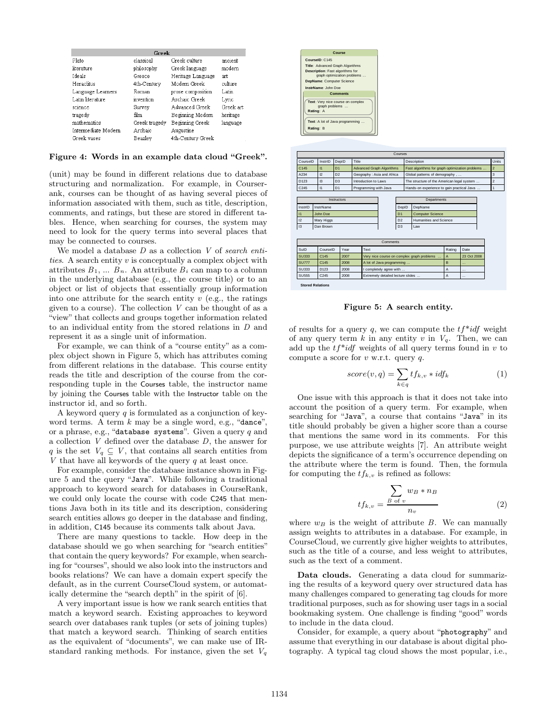| Greek               |               |                   |           |
|---------------------|---------------|-------------------|-----------|
| Plato               | classical     | Greek culture     | ancient   |
| literature          | philosophy    | Greek language    | modern    |
| Ideals              | Greece        | Heritage Language | art.      |
| Heraclitus          | 4th-Century   | Modern Greek      | culture   |
| Language Learners   | Roman         | prose composition | Latin     |
| Latin literature    | invention     | Archaic Greek     | Lyric     |
| science             | Survev        | Advanced Greek    | Greek art |
| tragedy             | film          | Beginning Modern  | heritage  |
| mathematics         | Greek tragedy | Beginning Greek   | language  |
| Intermediate Modern | Archaic       | Augustine         |           |
| Greek vases         | Beazley       | 4th-Century Greek |           |

Figure 4: Words in an example data cloud "Greek".

(unit) may be found in different relations due to database structuring and normalization. For example, in Courserank, courses can be thought of as having several pieces of information associated with them, such as title, description, comments, and ratings, but these are stored in different tables. Hence, when searching for courses, the system may need to look for the query terms into several places that may be connected to courses.

We model a database  $D$  as a collection  $V$  of search entities. A search entity  $v$  is conceptually a complex object with attributes  $B_1, \ldots, B_n$ . An attribute  $B_i$  can map to a column in the underlying database (e.g., the course title) or to an object or list of objects that essentially group information into one attribute for the search entity  $v$  (e.g., the ratings given to a course). The collection  $V$  can be thought of as a "view" that collects and groups together information related to an individual entity from the stored relations in D and represent it as a single unit of information.

For example, we can think of a "course entity" as a complex object shown in Figure 5, which has attributes coming from different relations in the database. This course entity reads the title and description of the course from the corresponding tuple in the Courses table, the instructor name by joining the Courses table with the Instructor table on the instructor id, and so forth.

A keyword query  $q$  is formulated as a conjunction of keyword terms. A term  $k$  may be a single word, e.g., "dance" or a phrase, e.g., "database systems". Given a query  $q$  and a collection  $V$  defined over the database  $D$ , the answer for q is the set  $V_q \subseteq V$ , that contains all search entities from  $V$  that have all keywords of the query  $q$  at least once.

For example, consider the database instance shown in Figure 5 and the query "Java". While following a traditional approach to keyword search for databases in CourseRank, we could only locate the course with code C245 that mentions Java both in its title and its description, considering search entities allows go deeper in the database and finding, in addition, C145 because its comments talk about Java.

There are many questions to tackle. How deep in the database should we go when searching for "search entities" that contain the query keywords? For example, when searching for "courses", should we also look into the instructors and books relations? We can have a domain expert specify the default, as in the current CourseCloud system, or automatically determine the "search depth" in the spirit of [6].

A very important issue is how we rank search entities that match a keyword search. Existing approaches to keyword search over databases rank tuples (or sets of joining tuples) that match a keyword search. Thinking of search entities as the equivalent of "documents", we can make use of IRstandard ranking methods. For instance, given the set  $V_q$ 





Figure 5: A search entity.

of results for a query  $q$ , we can compute the  $tf^*idf$  weight of any query term k in any entity v in  $V_q$ . Then, we can add up the  $tf^*idf$  weights of all query terms found in v to compute a score for  $v$  w.r.t. query  $q$ .

$$
score(v,q) = \sum_{k \in q} tf_{k,v} * idf_k
$$
\n(1)

One issue with this approach is that it does not take into account the position of a query term. For example, when searching for "Java", a course that contains "Java" in its title should probably be given a higher score than a course that mentions the same word in its comments. For this purpose, we use attribute weights [7]. An attribute weight depicts the significance of a term's occurrence depending on the attribute where the term is found. Then, the formula for computing the  $tf_{k,v}$  is refined as follows:

$$
tf_{k,v} = \frac{\sum_{B \text{ of } v} w_B * n_B}{n_v} \tag{2}
$$

where  $w_B$  is the weight of attribute B. We can manually assign weights to attributes in a database. For example, in CourseCloud, we currently give higher weights to attributes, such as the title of a course, and less weight to attributes, such as the text of a comment.

Data clouds. Generating a data cloud for summarizing the results of a keyword query over structured data has many challenges compared to generating tag clouds for more traditional purposes, such as for showing user tags in a social bookmaking system. One challenge is finding "good" words to include in the data cloud.

Consider, for example, a query about "photography" and assume that everything in our database is about digital photography. A typical tag cloud shows the most popular, i.e.,